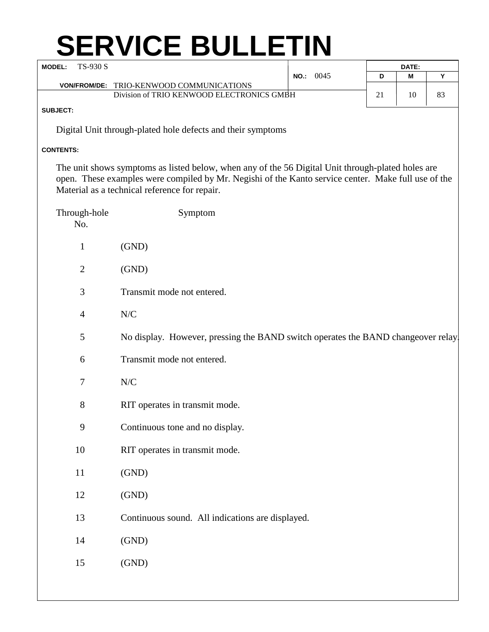## **SERVICE BULLETIN**

| TS-930 S<br><b>MODEL:</b> |                |                                                                                                                                                                                                          |           | DATE: |    |    |
|---------------------------|----------------|----------------------------------------------------------------------------------------------------------------------------------------------------------------------------------------------------------|-----------|-------|----|----|
|                           |                | VON/FROM/DE: TRIO-KENWOOD COMMUNICATIONS                                                                                                                                                                 | NO.: 0045 | D     | M  | Y  |
|                           |                | Division of TRIO KENWOOD ELECTRONICS GMBH                                                                                                                                                                |           | 21    | 10 | 83 |
| SUBJECT:                  |                |                                                                                                                                                                                                          |           |       |    |    |
|                           |                | Digital Unit through-plated hole defects and their symptoms                                                                                                                                              |           |       |    |    |
|                           |                |                                                                                                                                                                                                          |           |       |    |    |
| <b>CONTENTS:</b>          |                |                                                                                                                                                                                                          |           |       |    |    |
|                           |                | The unit shows symptoms as listed below, when any of the 56 Digital Unit through-plated holes are<br>open. These examples were compiled by Mr. Negishi of the Kanto service center. Make full use of the |           |       |    |    |
|                           |                | Material as a technical reference for repair.                                                                                                                                                            |           |       |    |    |
|                           |                |                                                                                                                                                                                                          |           |       |    |    |
|                           | Through-hole   | Symptom                                                                                                                                                                                                  |           |       |    |    |
|                           | No.            |                                                                                                                                                                                                          |           |       |    |    |
|                           | $\mathbf{1}$   | (GND)                                                                                                                                                                                                    |           |       |    |    |
|                           | $\overline{2}$ | (GND)                                                                                                                                                                                                    |           |       |    |    |
|                           |                |                                                                                                                                                                                                          |           |       |    |    |
|                           | 3              | Transmit mode not entered.                                                                                                                                                                               |           |       |    |    |
|                           | $\overline{4}$ | N/C                                                                                                                                                                                                      |           |       |    |    |
|                           |                |                                                                                                                                                                                                          |           |       |    |    |
|                           | 5              | No display. However, pressing the BAND switch operates the BAND changeover relay                                                                                                                         |           |       |    |    |
|                           | 6              | Transmit mode not entered.                                                                                                                                                                               |           |       |    |    |
|                           | 7              | N/C                                                                                                                                                                                                      |           |       |    |    |
|                           |                |                                                                                                                                                                                                          |           |       |    |    |
|                           | 8              | RIT operates in transmit mode.                                                                                                                                                                           |           |       |    |    |
|                           | 9              | Continuous tone and no display.                                                                                                                                                                          |           |       |    |    |
| 10                        |                |                                                                                                                                                                                                          |           |       |    |    |
|                           |                | RIT operates in transmit mode.                                                                                                                                                                           |           |       |    |    |
| 11                        |                | (GND)                                                                                                                                                                                                    |           |       |    |    |
| 12                        |                | (GND)                                                                                                                                                                                                    |           |       |    |    |
|                           |                |                                                                                                                                                                                                          |           |       |    |    |
| 13                        |                | Continuous sound. All indications are displayed.                                                                                                                                                         |           |       |    |    |
| 14                        |                | (GND)                                                                                                                                                                                                    |           |       |    |    |
|                           |                |                                                                                                                                                                                                          |           |       |    |    |
| 15                        |                | (GND)                                                                                                                                                                                                    |           |       |    |    |
|                           |                |                                                                                                                                                                                                          |           |       |    |    |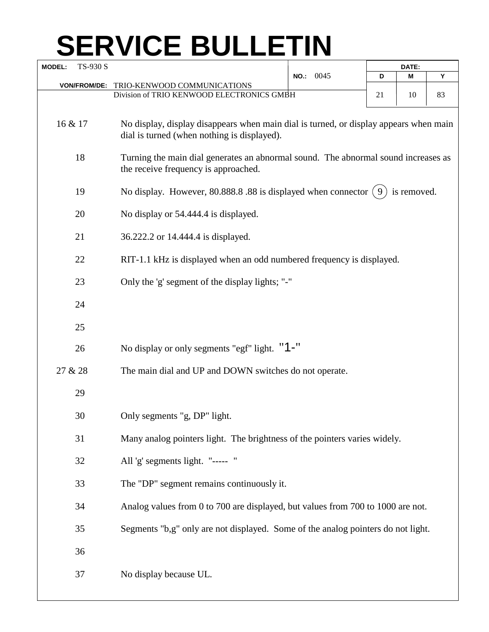## **SERVICE BULLETIN**

| <b>MODEL:</b> | TS-930 S                                 |                                                                                                                                      | NO.: 0045 | DATE: |             |    |  |
|---------------|------------------------------------------|--------------------------------------------------------------------------------------------------------------------------------------|-----------|-------|-------------|----|--|
|               |                                          |                                                                                                                                      |           | D     | Μ           | Υ  |  |
|               | <b>VON/FROM/DE:</b>                      | TRIO-KENWOOD COMMUNICATIONS                                                                                                          |           |       |             |    |  |
|               |                                          | Division of TRIO KENWOOD ELECTRONICS GMBH                                                                                            |           | 21    | 10          | 83 |  |
| 16 & 17       |                                          | No display, display disappears when main dial is turned, or display appears when main<br>dial is turned (when nothing is displayed). |           |       |             |    |  |
|               | 18                                       | Turning the main dial generates an abnormal sound. The abnormal sound increases as<br>the receive frequency is approached.           |           |       |             |    |  |
|               | 19                                       | No display. However, 80.888.8 .88 is displayed when connector (9                                                                     |           |       | is removed. |    |  |
|               | 20                                       | No display or 54.444.4 is displayed.                                                                                                 |           |       |             |    |  |
|               | 21<br>36.222.2 or 14.444.4 is displayed. |                                                                                                                                      |           |       |             |    |  |
|               | 22                                       | RIT-1.1 kHz is displayed when an odd numbered frequency is displayed.                                                                |           |       |             |    |  |
|               | 23                                       | Only the 'g' segment of the display lights; "-"                                                                                      |           |       |             |    |  |
|               | 24                                       |                                                                                                                                      |           |       |             |    |  |
|               | 25                                       |                                                                                                                                      |           |       |             |    |  |
|               | 26                                       | No display or only segments "egf" light. "1-"                                                                                        |           |       |             |    |  |
| 27 & 28       |                                          | The main dial and UP and DOWN switches do not operate.                                                                               |           |       |             |    |  |
|               | 29                                       |                                                                                                                                      |           |       |             |    |  |
|               | 30                                       | Only segments "g, DP" light.                                                                                                         |           |       |             |    |  |
|               | 31                                       | Many analog pointers light. The brightness of the pointers varies widely.                                                            |           |       |             |    |  |
|               | 32                                       | All 'g' segments light. "----- "                                                                                                     |           |       |             |    |  |
|               | 33                                       | The "DP" segment remains continuously it.                                                                                            |           |       |             |    |  |
|               | 34                                       | Analog values from 0 to 700 are displayed, but values from 700 to 1000 are not.                                                      |           |       |             |    |  |
|               | 35                                       | Segments "b,g" only are not displayed. Some of the analog pointers do not light.                                                     |           |       |             |    |  |
|               | 36                                       |                                                                                                                                      |           |       |             |    |  |
|               | 37                                       | No display because UL.                                                                                                               |           |       |             |    |  |
|               |                                          |                                                                                                                                      |           |       |             |    |  |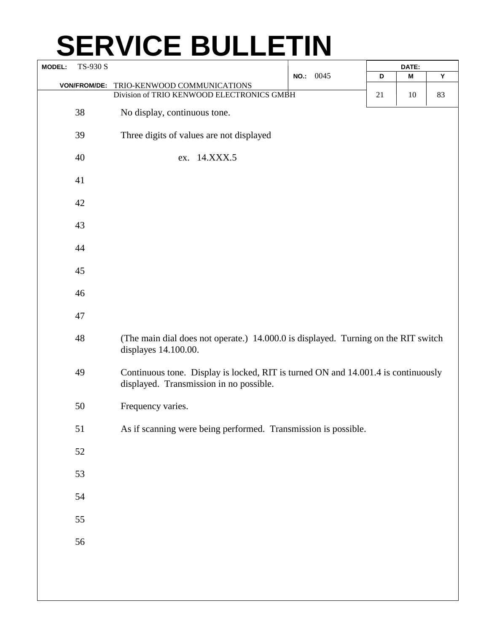## **SERVICE BULLETIN**

| TS-930 S<br><b>MODEL:</b> |                     |                                                                                                                              |           | DATE: |    |    |
|---------------------------|---------------------|------------------------------------------------------------------------------------------------------------------------------|-----------|-------|----|----|
|                           |                     |                                                                                                                              | NO.: 0045 | D     | M  | Υ  |
|                           | <b>VON/FROM/DE:</b> | TRIO-KENWOOD COMMUNICATIONS                                                                                                  |           |       |    |    |
|                           |                     | Division of TRIO KENWOOD ELECTRONICS GMBH                                                                                    |           | 21    | 10 | 83 |
|                           | 38                  | No display, continuous tone.                                                                                                 |           |       |    |    |
|                           |                     |                                                                                                                              |           |       |    |    |
|                           | 39                  | Three digits of values are not displayed                                                                                     |           |       |    |    |
|                           | 40                  | ex. 14.XXX.5                                                                                                                 |           |       |    |    |
|                           | 41                  |                                                                                                                              |           |       |    |    |
|                           | 42                  |                                                                                                                              |           |       |    |    |
|                           | 43                  |                                                                                                                              |           |       |    |    |
|                           | 44                  |                                                                                                                              |           |       |    |    |
|                           | 45                  |                                                                                                                              |           |       |    |    |
|                           | 46                  |                                                                                                                              |           |       |    |    |
|                           | 47                  |                                                                                                                              |           |       |    |    |
|                           |                     |                                                                                                                              |           |       |    |    |
|                           | 48                  | (The main dial does not operate.) 14.000.0 is displayed. Turning on the RIT switch<br>displayes 14.100.00.                   |           |       |    |    |
|                           | 49                  | Continuous tone. Display is locked, RIT is turned ON and 14.001.4 is continuously<br>displayed. Transmission in no possible. |           |       |    |    |
|                           | 50                  | Frequency varies.                                                                                                            |           |       |    |    |
|                           | 51                  | As if scanning were being performed. Transmission is possible.                                                               |           |       |    |    |
|                           | 52                  |                                                                                                                              |           |       |    |    |
|                           | 53                  |                                                                                                                              |           |       |    |    |
|                           | 54                  |                                                                                                                              |           |       |    |    |
|                           | 55                  |                                                                                                                              |           |       |    |    |
|                           | 56                  |                                                                                                                              |           |       |    |    |
|                           |                     |                                                                                                                              |           |       |    |    |
|                           |                     |                                                                                                                              |           |       |    |    |
|                           |                     |                                                                                                                              |           |       |    |    |